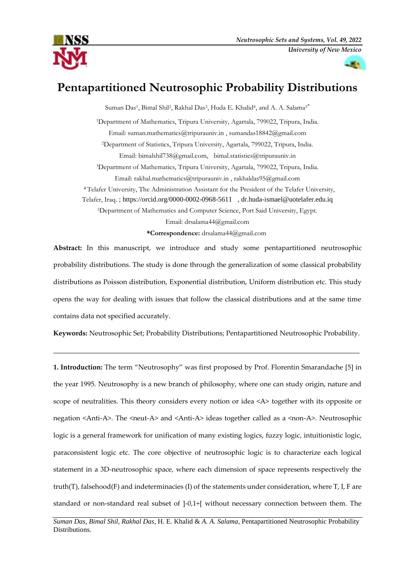

# **Pentapartitioned Neutrosophic Probability Distributions**

Suman Das<sup>1</sup>, Bimal Shil<sup>2</sup>, Rakhal Das<sup>3</sup>, Huda E. Khalid<sup>4</sup>, and A. A. Salama<sup>5\*</sup> <sup>1</sup>Department of Mathematics, Tripura University, Agartala, 799022, Tripura, India. Email: [suman.mathematics@tripurauniv.in](mailto:suman.mathematics@tripurauniv.in) [, sumandas18842@gmail.com](mailto:sumandas18842@gmail.com) <sup>2</sup>Department of Statistics, Tripura University, Agartala, 799022, Tripura, India. Email: [bimalshil738@gmail.com,](mailto:bimalshil738@gmail.com) [bimal.statistics@tripurauniv.in](mailto:bimal.statistics@tripurauniv.in) <sup>3</sup>Department of Mathematics, Tripura University, Agartala, 799022, Tripura, India. Email: [rakhal.mathematics@tripurauniv.in](mailto:rakhal.mathematics@tripurauniv.in) [, rakhaldas95@gmail.com](mailto:rakhaldas95@gmail.com) <sup>4</sup> Telafer University, The Administration Assistant for the President of the Telafer University, Telafer, Iraq. ;<https://orcid.org/0000-0002-0968-5611>, [dr.huda-ismael@uotelafer.edu.iq](mailto:dr.huda-ismael@uotelafer.edu.iq) <sup>5</sup>Department of Mathematics and Computer Science, Port Said University, Egypt. Email: [drsalama44@gmail.com](mailto:drsalama44@gmail.com) **\*Correspondence:** [drsalama44@gmail.com](mailto:drsalama44@gmail.com)

**Abstract:** In this manuscript, we introduce and study some pentapartitioned neutrosophic probability distributions. The study is done through the generalization of some classical probability distributions as Poisson distribution, Exponential distribution, Uniform distribution etc. This study opens the way for dealing with issues that follow the classical distributions and at the same time contains data not specified accurately.

**Keywords:** Neutrosophic Set; Probability Distributions; Pentapartitioned Neutrosophic Probability.

\_\_\_\_\_\_\_\_\_\_\_\_\_\_\_\_\_\_\_\_\_\_\_\_\_\_\_\_\_\_\_\_\_\_\_\_\_\_\_\_\_\_\_\_\_\_\_\_\_\_\_\_\_\_\_\_\_\_\_\_\_\_\_\_\_\_\_\_\_\_\_\_\_\_\_\_\_\_\_\_\_\_\_\_\_\_\_\_

**1. Introduction:** The term "Neutrosophy" was first proposed by Prof. Florentin Smarandache [5] in the year 1995. Neutrosophy is a new branch of philosophy, where one can study origin, nature and scope of neutralities. This theory considers every notion or idea <A> together with its opposite or negation <Anti-A>. The <neut-A> and <Anti-A> ideas together called as a <non-A>. Neutrosophic logic is a general framework for unification of many existing logics, fuzzy logic, intuitionistic logic, paraconsistent logic etc. The core objective of neutrosophic logic is to characterize each logical statement in a 3D-neutrosophic space, where each dimension of space represents respectively the truth(T), falsehood(F) and indeterminacies (I) of the statements under consideration, where  $T$ , I, F are standard or non-standard real subset of ]-0,1+[ without necessary connection between them. The

*Suman Das*, *Bimal Shil*, *Rakhal Das*, H. E. Khalid & *A. A. Salama*, Pentapartitioned Neutrosophic Probability Distributions.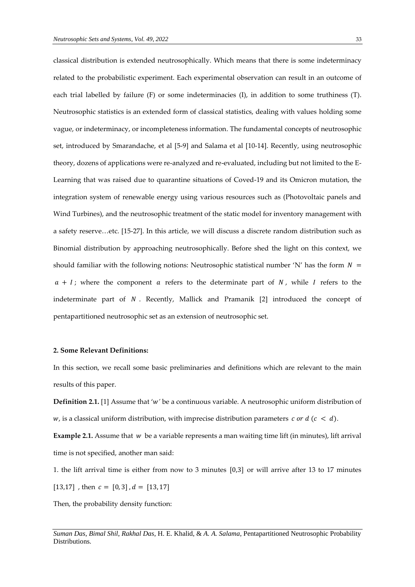classical distribution is extended neutrosophically. Which means that there is some indeterminacy related to the probabilistic experiment. Each experimental observation can result in an outcome of each trial labelled by failure (F) or some indeterminacies (I), in addition to some truthiness (T). Neutrosophic statistics is an extended form of classical statistics, dealing with values holding some vague, or indeterminacy, or incompleteness information. The fundamental concepts of neutrosophic set, introduced by Smarandache, et al [5-9] and Salama et al [10-14]. Recently, using neutrosophic theory, dozens of applications were re-analyzed and re-evaluated, including but not limited to the E-Learning that was raised due to quarantine situations of Coved-19 and its Omicron mutation, the integration system of renewable energy using various resources such as (Photovoltaic panels and Wind Turbines), and the neutrosophic treatment of the static model for inventory management with a safety reserve…etc. [15-27]. In this article, we will discuss a discrete random distribution such as Binomial distribution by approaching neutrosophically. Before shed the light on this context, we should familiar with the following notions: Neutrosophic statistical number 'N' has the form  $N =$  $a + I$ ; where the component  $a$  refers to the determinate part of  $N$ , while  $I$  refers to the indeterminate part of  $N$ . Recently, Mallick and Pramanik  $[2]$  introduced the concept of pentapartitioned neutrosophic set as an extension of neutrosophic set.

#### **2. Some Relevant Definitions:**

In this section, we recall some basic preliminaries and definitions which are relevant to the main results of this paper.

**Definition 2.1.** [1] Assume that '*'* be a continuous variable. A neutrosophic uniform distribution of  $w_i$ , is a classical uniform distribution, with imprecise distribution parameters  $c$  or  $d$  ( $c < d$ ).

**Example 2.1.** Assume that *w* be a variable represents a man waiting time lift (in minutes), lift arrival time is not specified, another man said:

1. the lift arrival time is either from now to 3 minutes [0,3] or will arrive after 13 to 17 minutes [13,17], then  $c = [0, 3]$ ,  $d = [13, 17]$ 

Then, the probability density function:

*Suman Das*, *Bimal Shil*, *Rakhal Das*, H. E. Khalid, & *A. A. Salama*, Pentapartitioned Neutrosophic Probability Distributions.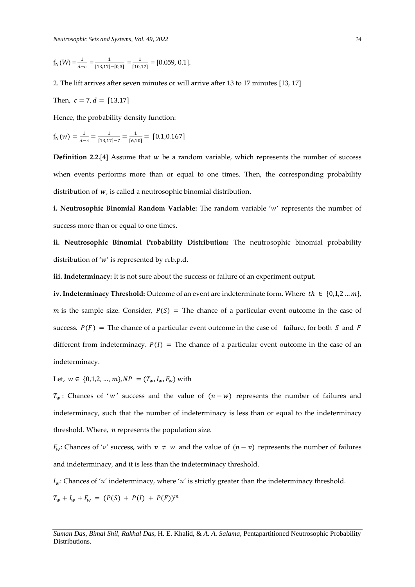$f_{N}(W) = \frac{1}{d-c} = \frac{1}{[13,17]}$  $\frac{1}{[13,17]-[0,3]} = \frac{1}{[10,$  $\frac{1}{[10,17]}$  = [0.059, 0.1].

2. The lift arrives after seven minutes or will arrive after 13 to 17 minutes [13, 17]

Then,  $c = 7$ ,  $d = [13,17]$ 

Hence, the probability density function:

$$
f_{N}(w) = \frac{1}{d-c} = \frac{1}{[13,17]-7} = \frac{1}{[6,10]} = [0.1,0.167]
$$

**Definition** 2.2.<sup>[4]</sup> Assume that  $w$  be a random variable, which represents the number of success when events performs more than or equal to one times. Then, the corresponding probability distribution of  $w$ , is called a neutrosophic binomial distribution.

**i. Neutrosophic Binomial Random Variable:** The random variable 'w' represents the number of success more than or equal to one times.

**ii. Neutrosophic Binomial Probability Distribution:** The neutrosophic binomial probability distribution of ' $w'$  is represented by n.b.p.d.

**iii. Indeterminacy:** It is not sure about the success or failure of an experiment output.

**iv. Indeterminacy Threshold:** Outcome of an event are indeterminate form. Where  $th \in \{0,1,2...m\}$ , m is the sample size. Consider,  $P(S)$  = The chance of a particular event outcome in the case of success.  $P(F)$  = The chance of a particular event outcome in the case of failure, for both *S* and *F* different from indeterminacy.  $P(I)$  = The chance of a particular event outcome in the case of an indeterminacy.

Let,  $w \in \{0,1,2,\ldots,m\}$ ,  $NP = (T_w, I_w, F_w)$  with

 $T_w$ : Chances of 'w' success and the value of  $(n - w)$  represents the number of failures and indeterminacy, such that the number of indeterminacy is less than or equal to the indeterminacy threshold. Where,  $n$  represents the population size.

 $F_w$ : Chances of 'v' success, with  $v \neq w$  and the value of  $(n - v)$  represents the number of failures and indeterminacy, and it is less than the indeterminacy threshold.

 $I_w$ : Chances of 'u' indeterminacy, where 'u' is strictly greater than the indeterminacy threshold.

 $T_w + I_w + F_w = (P(S) + P(I) + P(F))^m$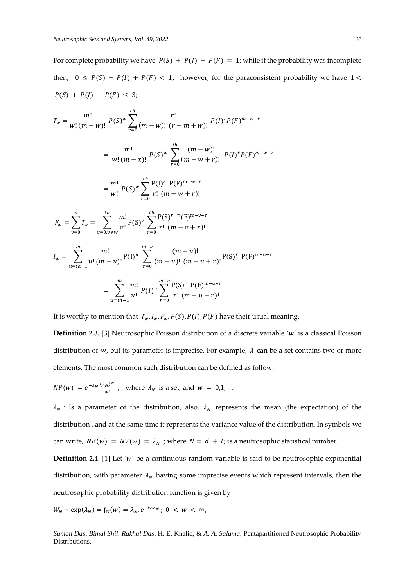For complete probability we have  $P(S) + P(I) + P(F) = 1$ ; while if the probability was incomplete then,  $0 \le P(S) + P(I) + P(F) < 1$ ; however, for the paraconsistent probability we have  $1 <$  $P(S) + P(I) + P(F) \leq 3;$ 

$$
T_w = \frac{m!}{w!(m-w)!} P(S)^w \sum_{r=0}^{th} \frac{r!}{(m-w)! (r-m+w)!} P(I)^r P(F)^{m-w-r}
$$
  
\n
$$
= \frac{m!}{w!(m-x)!} P(S)^w \sum_{r=0}^{th} \frac{(m-w)!}{(m-w+r)!} P(I)^r P(F)^{m-w-r}
$$
  
\n
$$
= \frac{m!}{w!} P(S)^w \sum_{r=0}^{th} \frac{P(I)^r P(F)^{m-w-r}}{r! (m-w+r)!}
$$
  
\n
$$
F_w = \sum_{v=0}^m T_v = \sum_{v=0, v \neq w}^{th} \frac{m!}{v!} P(S)^v \sum_{r=0}^{th} \frac{P(S)^r P(F)^{m-v-r}}{r! (m-v+r)!}
$$
  
\n
$$
I_w = \sum_{u=th+1}^m \frac{m!}{u!(m-u)!} P(I)^u \sum_{r=0}^{m-u} \frac{(m-u)!}{(m-u)! (m-u+r)!} P(S)^r P(F)^{m-u-r}
$$
  
\n
$$
= \sum_{u=th+1}^m \frac{m!}{u!} P(I)^u \sum_{r=0}^{m-u} \frac{P(S)^r P(F)^{m-u-r}}{r! (m-u+r)!}
$$

It is worthy to mention that  $T_w, I_w, F_w, P(S), P(I), P(F)$  have their usual meaning.

**Definition 2.3.** [3] Neutrosophic Poisson distribution of a discrete variable 'w' is a classical Poisson distribution of w, but its parameter is imprecise. For example,  $\lambda$  can be a set contains two or more elements. The most common such distribution can be defined as follow:

$$
NP(w) = e^{-\lambda_N} \frac{(\lambda_N)^w}{w!} \; ; \; \text{ where } \lambda_N \text{ is a set, and } w = 0, 1, \ldots
$$

 $\lambda_N$ : Is a parameter of the distribution, also,  $\lambda_N$  represents the mean (the expectation) of the distribution , and at the same time it represents the variance value of the distribution. In symbols we can write,  $NE(w) = NV(w) = \lambda_N$ ; where  $N = d + I$ ; is a neutrosophic statistical number.

**Definition 2.4**. [1] Let 'w' be a continuous random variable is said to be neutrosophic exponential distribution, with parameter  $\lambda_N$  having some imprecise events which represent intervals, then the neutrosophic probability distribution function is given by

$$
W_N \sim \exp(\lambda_N) = f_N(w) = \lambda_N \cdot e^{-w \cdot \lambda_N}; \ 0 < w < \infty,
$$

*Suman Das*, *Bimal Shil*, *Rakhal Das*, H. E. Khalid, & *A. A. Salama*, Pentapartitioned Neutrosophic Probability Distributions.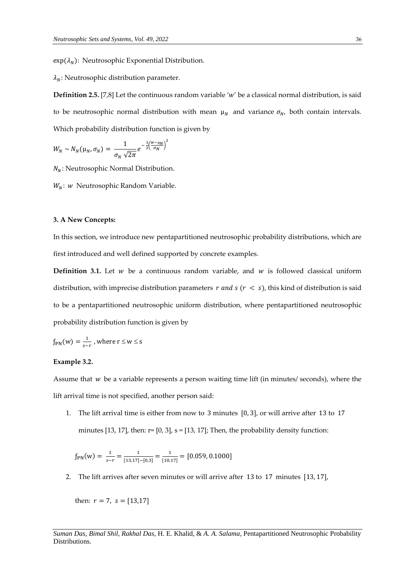$exp(\lambda_N)$ : Neutrosophic Exponential Distribution.

 $\lambda_N$ : Neutrosophic distribution parameter.

**Definition 2.5.** [7,8] Let the continuous random variable 'w' be a classical normal distribution, is said to be neutrosophic normal distribution with mean  $\mu_N$  and variance  $\sigma_N$ , both contain intervals. Which probability distribution function is given by

$$
W_N \sim N_N(\mu_N, \sigma_N) = \frac{1}{\sigma_N \sqrt{2\pi}} e^{-\frac{1}{2} \left(\frac{W - \mu_N}{\sigma_N}\right)^2}
$$

 $N_N$ : Neutrosophic Normal Distribution.

 $W_N$ : w Neutrosophic Random Variable.

#### **3. A New Concepts:**

In this section, we introduce new pentapartitioned neutrosophic probability distributions, which are first introduced and well defined supported by concrete examples.

**Definition 3.1.** Let  $w$  be a continuous random variable, and  $w$  is followed classical uniform distribution, with imprecise distribution parameters  $r$  and  $s$  ( $r < s$ ), this kind of distribution is said to be a pentapartitioned neutrosophic uniform distribution, where pentapartitioned neutrosophic probability distribution function is given by

$$
f_{\text{PN}}(w) = \frac{1}{s-r}
$$
, where  $r \le w \le s$ 

#### **Example 3.2.**

Assume that  $w$  be a variable represents a person waiting time lift (in minutes/ seconds), where the lift arrival time is not specified, another person said:

1. The lift arrival time is either from now to 3 minutes [0, 3], or will arrive after 13 to 17 minutes [13, 17], then:  $r=[0, 3]$ ,  $s=[13, 17]$ ; Then, the probability density function:

$$
f_{\rm PN}(w) = \frac{1}{s-r} = \frac{1}{[13,17]-[0,3]} = \frac{1}{[10,17]} = [0.059, 0.1000]
$$

2. The lift arrives after seven minutes or will arrive after 13 to 17 minutes [13, 17],

then:  $r = 7$ ,  $s = [13,17]$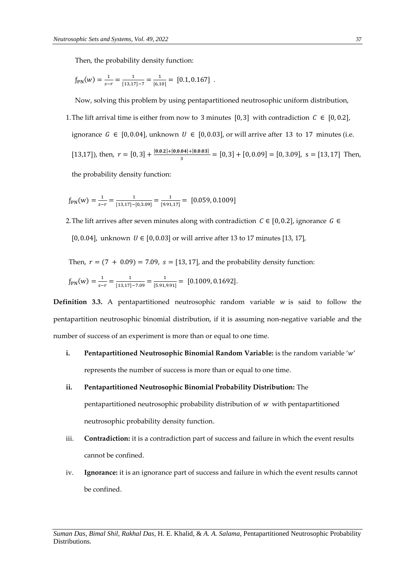Then, the probability density function:

$$
f_{\rm PN}(w) = \frac{1}{s-r} = \frac{1}{[13,17]-7} = \frac{1}{[6,10]} = [0.1,0.167]
$$

Now, solving this problem by using pentapartitioned neutrosophic uniform distribution,

1. The lift arrival time is either from now to 3 minutes [0, 3] with contradiction  $C \in [0, 0.2]$ , ignorance  $G \in [0, 0.04]$ , unknown  $U \in [0, 0.03]$ , or will arrive after 13 to 17 minutes (i.e. [13,17]), then,  $r = [0, 3] + \frac{[0, 0.2] + [0, 0.04] + [0, 0.03]}{2}$  $\frac{3.04+10,0.031}{3}$  = [0, 3] + [0, 0.09] = [0, 3.09], s = [13, 17] Then,

the probability density function:

$$
f_{\rm PN}(w) = \frac{1}{s-r} = \frac{1}{[13,17]-[0,3.09]} = \frac{1}{[9.91,17]} = [0.059, 0.1009]
$$

2. The lift arrives after seven minutes along with contradiction  $C \in [0, 0.2]$ , ignorance  $G \in$ [0, 0.04], unknown  $U \in [0, 0.03]$  or will arrive after 13 to 17 minutes [13, 17],

Then,  $r = (7 + 0.09) = 7.09$ ,  $s = [13, 17]$ , and the probability density function:

$$
f_{\rm PN}(w) = \frac{1}{s-r} = \frac{1}{[13,17]-7.09} = \frac{1}{[5.91,9.91]} = [0.1009, 0.1692].
$$

**Definition 3.3.** A pentapartitioned neutrosophic random variable  $w$  is said to follow the pentapartition neutrosophic binomial distribution, if it is assuming non-negative variable and the number of success of an experiment is more than or equal to one time.

# **i. Pentapartitioned Neutrosophic Binomial Random Variable:** is the random variable 'w' represents the number of success is more than or equal to one time.

#### **ii. Pentapartitioned Neutrosophic Binomial Probability Distribution:** The

pentapartitioned neutrosophic probability distribution of  $w$  with pentapartitioned neutrosophic probability density function.

- iii. **Contradiction:** it is a contradiction part of success and failure in which the event results cannot be confined.
- iv. **Ignorance:** it is an ignorance part of success and failure in which the event results cannot be confined.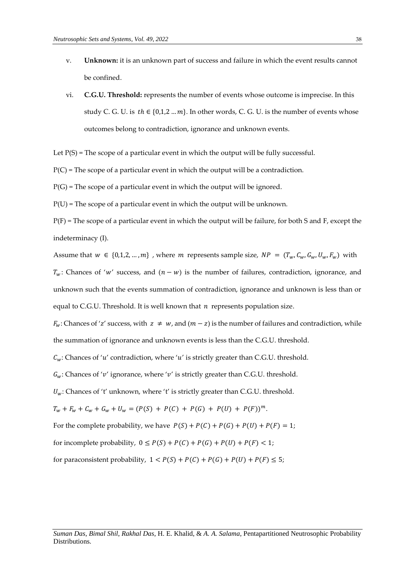- v. **Unknown:** it is an unknown part of success and failure in which the event results cannot be confined.
- vi. **C.G.U. Threshold:** represents the number of events whose outcome is imprecise. In this study C. G. U. is  $th \in \{0,1,2...m\}$ . In other words, C. G. U. is the number of events whose outcomes belong to contradiction, ignorance and unknown events.
- Let  $P(S)$  = The scope of a particular event in which the output will be fully successful.

 $P(C)$  = The scope of a particular event in which the output will be a contradiction.

 $P(G)$  = The scope of a particular event in which the output will be ignored.

 $P(U)$  = The scope of a particular event in which the output will be unknown.

 $P(F)$  = The scope of a particular event in which the output will be failure, for both S and F, except the indeterminacy (I).

Assume that  $w \in \{0,1,2,...,m\}$ , where m represents sample size,  $NP = (T_w, C_w, G_w, U_w, F_w)$  with  $T_w$ : Chances of 'w' success, and  $(n - w)$  is the number of failures, contradiction, ignorance, and unknown such that the events summation of contradiction, ignorance and unknown is less than or equal to C.G.U. Threshold. It is well known that  $n$  represents population size.

 $F_w$ : Chances of 'z' success, with  $z \neq w$ , and  $(m - z)$  is the number of failures and contradiction, while the summation of ignorance and unknown events is less than the C.G.U. threshold.

 $C_w$ : Chances of 'u' contradiction, where 'u' is strictly greater than C.G.U. threshold.

 $G_w$ : Chances of 'v' ignorance, where 'v' is strictly greater than C.G.U. threshold.

 $U_w$ : Chances of 't' unknown, where 't' is strictly greater than C.G.U. threshold.

 $T_w + F_w + C_w + G_w + U_w = (P(S) + P(C) + P(G) + P(U) + P(F))^m.$ 

For the complete probability, we have  $P(S) + P(C) + P(G) + P(U) + P(F) = 1$ ;

for incomplete probability, 
$$
0 \le P(S) + P(C) + P(G) + P(U) + P(F) < 1
$$
;

for paraconsistent probability,  $1 < P(S) + P(C) + P(G) + P(U) + P(F) \le 5$ ;

*Suman Das*, *Bimal Shil*, *Rakhal Das*, H. E. Khalid, & *A. A. Salama*, Pentapartitioned Neutrosophic Probability Distributions.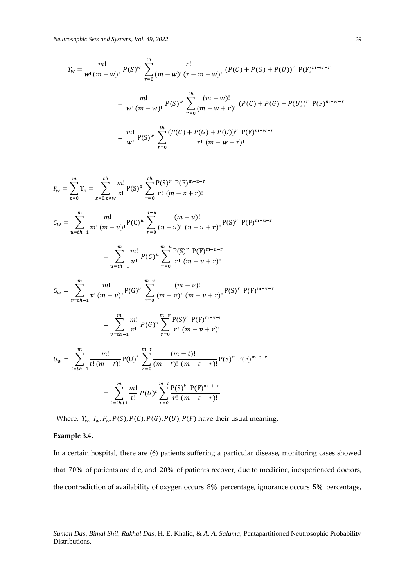$$
T_w = \frac{m!}{w! (m - w)!} P(S)^w \sum_{r=0}^{th} \frac{r!}{(m - w)! (r - m + w)!} (P(C) + P(G) + P(U))^r P(F)^{m - w - r}
$$
  
= 
$$
\frac{m!}{w! (m - w)!} P(S)^w \sum_{r=0}^{th} \frac{(m - w)!}{(m - w + r)!} (P(C) + P(G) + P(U))^r P(F)^{m - w - r}
$$
  
= 
$$
\frac{m!}{w!} P(S)^w \sum_{r=0}^{th} \frac{(P(C) + P(G) + P(U))^r P(F)^{m - w - r}}{r! (m - w + r)!}
$$

$$
F_w = \sum_{z=0}^{m} T_z = \sum_{z=0, z \neq w}^{th} \frac{m!}{z!} P(S)^z \sum_{r=0}^{th} \frac{P(S)^r P(F)^{m-z-r}}{r! (m-z+r)!}
$$
  
\n
$$
C_w = \sum_{u=th+1}^{m} \frac{m!}{m! (m-u)!} P(C)^u \sum_{r=0}^{n-u} \frac{(m-u)!}{(n-u)! (n-u+r)!} P(S)^r P(F)^{m-u-r}
$$
  
\n
$$
= \sum_{u=th+1}^{m} \frac{m!}{u!} P(C)^u \sum_{r=0}^{m-u} \frac{P(S)^r P(F)^{m-u-r}}{r! (m-u+r)!}
$$
  
\n
$$
G_w = \sum_{v=th+1}^{m} \frac{m!}{v! (m-v)!} P(G)^v \sum_{r=0}^{m-v} \frac{(m-v)!}{(m-v)! (m-v+r)!} P(S)^r P(F)^{m-v-r}
$$
  
\n
$$
= \sum_{v=th+1}^{m} \frac{m!}{v!} P(G)^v \sum_{r=0}^{m-v} \frac{P(S)^r P(F)^{m-v-r}}{r! (m-v+r)!}
$$
  
\n
$$
U_w = \sum_{t=th+1}^{m} \frac{m!}{t! (m-t)!} P(U)^t \sum_{r=0}^{m-t} \frac{(m-t)!}{(m-t)! (m-t+r)!} P(S)^r P(F)^{m-t-r}
$$
  
\n
$$
= \sum_{t=th+1}^{m} \frac{m!}{t!} P(U)^t \sum_{r=0}^{m-t} \frac{P(S)^k P(F)^{m-t-r}}{r! (m-t+r)!}
$$

Where,  $T_w$ ,  $I_w$ ,  $F_w$ ,  $P(S)$ ,  $P(C)$ ,  $P(G)$ ,  $P(U)$ ,  $P(F)$  have their usual meaning.

#### **Example 3.4.**

In a certain hospital, there are (6) patients suffering a particular disease, monitoring cases showed that 70% of patients are die, and 20% of patients recover, due to medicine, inexperienced doctors, the contradiction of availability of oxygen occurs 8% percentage, ignorance occurs 5% percentage,

*Suman Das*, *Bimal Shil*, *Rakhal Das*, H. E. Khalid, & *A. A. Salama*, Pentapartitioned Neutrosophic Probability Distributions.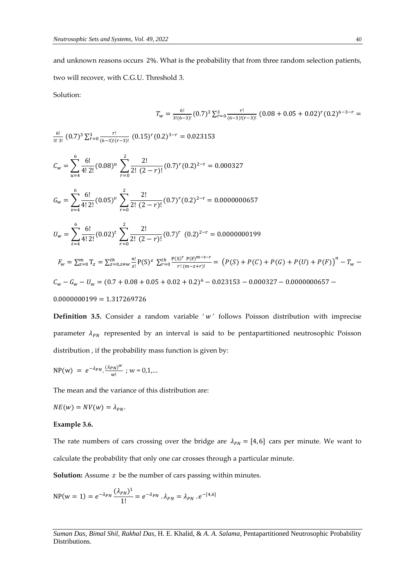and unknown reasons occurs 2%. What is the probability that from three random selection patients, two will recover, with C.G.U. Threshold 3.

Solution:

$$
T_w = \frac{6!}{3!(6-3)!} (0.7)^3 \sum_{r=0}^3 \frac{r!}{(6-3)!(r-3)!} (0.08+0.05+0.02)^r (0.2)^{6-3-r} =
$$

6! (0.7) <sup>3</sup> ∑ ! 3 (0.15) (0.2) 3− = 0.023153 3! 3! (6−3)!(−3)! =0 = ∑ 6! 4! 2! (0.08) 6 =4 ∑ 2! 2! (2 − )! 2 =0 (0.7) (0.2) 2−r = 0.000327 = ∑ 6! 4! 2! (0.05) 6 =4 ∑ 2! 2! (2 −)! 2 =0 (0.7) (0.2) 2−r = 0.0000000657 = ∑ 6! 4! 2! (0.02) 6 =4 ∑ 2! 2! (2 − )! 2 =0 (0.7) (0.2) 2−r = 0.0000000199 = ∑ T =0 = ∑ ! ! P(S) ℎ =0,≠ ∑ P(S) P(F)m−z−r ! (−+)! ℎ =0 = (()+ ()+ ()+ () +()) − − − − = (0.7+ 0.08 + 0.05 + 0.02 + 0.2) <sup>6</sup> − 0.023153 −0.000327 − 0.0000000657 − 0.0000000199 = 1.317269726

**Definition 3.5.** Consider a random variable 'w' follows Poisson distribution with imprecise parameter  $\lambda_{PN}$  represented by an interval is said to be pentapartitioned neutrosophic Poisson distribution , if the probability mass function is given by:

$$
NP(w) = e^{-\lambda_{PN}} \cdot \frac{(\lambda_{PN})^w}{w!} ; w = 0, 1, ...
$$

The mean and the variance of this distribution are:

$$
NE(w) = NV(w) = \lambda_{PN}.
$$

#### **Example 3.6.**

The rate numbers of cars crossing over the bridge are  $\lambda_{PN} = [4, 6]$  cars per minute. We want to calculate the probability that only one car crosses through a particular minute.

**Solution:** Assume z be the number of cars passing within minutes.

$$
NP(w = 1) = e^{-\lambda_{PN}} \frac{(\lambda_{PN})^1}{1!} = e^{-\lambda_{PN}} \cdot \lambda_{PN} = \lambda_{PN} \cdot e^{-[4,6]}
$$

*Suman Das*, *Bimal Shil*, *Rakhal Das*, H. E. Khalid, & *A. A. Salama*, Pentapartitioned Neutrosophic Probability Distributions.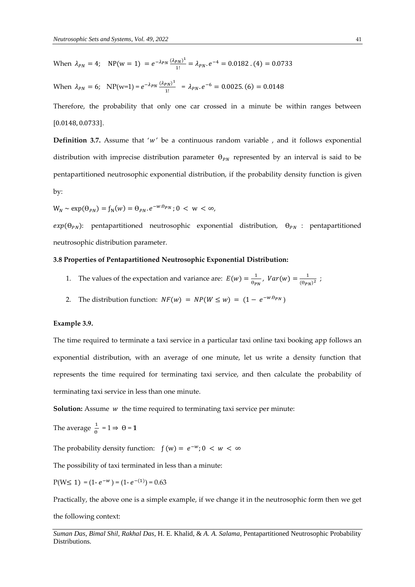When 
$$
\lambda_{PN} = 4
$$
; NP(w = 1) =  $e^{-\lambda_{PN} \frac{(\lambda_{PN})^1}{1!}} = \lambda_{PN} e^{-4} = 0.0182$ . (4) = 0.0733

When 
$$
\lambda_{PN} = 6
$$
; NP(w=1) =  $e^{-\lambda_{PN} \frac{(\lambda_{PN})^1}{1!}} = \lambda_{PN} e^{-6} = 0.0025$ . (6) = 0.0148

Therefore, the probability that only one car crossed in a minute be within ranges between [0.0148, 0.0733].

**Definition 3.7.** Assume that ' $w'$  be a continuous random variable , and it follows exponential distribution with imprecise distribution parameter  $\Theta_{PN}$  represented by an interval is said to be pentapartitioned neutrosophic exponential distribution, if the probability density function is given by:

$$
W_N \sim \exp(\theta_{PN}) = f_N(w) = \theta_{PN}.e^{-w.\theta_{PN}}; 0 < w < \infty,
$$

 $exp(\theta_{PN})$ : pentapartitioned neutrosophic exponential distribution,  $\theta_{PN}$  : pentapartitioned neutrosophic distribution parameter.

## **3.8 Properties of Pentapartitioned Neutrosophic Exponential Distribution:**

- 1. The values of the expectation and variance are:  $E(w) = \frac{1}{2\pi\epsilon_0}$  $\frac{1}{\Theta_{PN}}$ ,  $Var(w) = \frac{1}{(\Theta_{PI})}$  $\frac{1}{(\theta_{PN})^2}$ ;
- 2. The distribution function:  $NF(w) = NP(W \le w) = (1 e^{-w \cdot \theta_{PN}})$

#### **Example 3.9.**

The time required to terminate a taxi service in a particular taxi online taxi booking app follows an exponential distribution, with an average of one minute, let us write a density function that represents the time required for terminating taxi service, and then calculate the probability of terminating taxi service in less than one minute.

**Solution:** Assume *w* the time required to terminating taxi service per minute:

The average 
$$
\frac{1}{\theta} = 1 \Rightarrow \theta = 1
$$

The probability density function:  $f(w) = e^{-w}$ ;  $0 < w < \infty$ 

The possibility of taxi terminated in less than a minute:

$$
P(W \le 1) = (1 - e^{-w}) = (1 - e^{-1}) = 0.63
$$

Practically, the above one is a simple example, if we change it in the neutrosophic form then we get

the following context:

*Suman Das*, *Bimal Shil*, *Rakhal Das*, H. E. Khalid, & *A. A. Salama*, Pentapartitioned Neutrosophic Probability Distributions.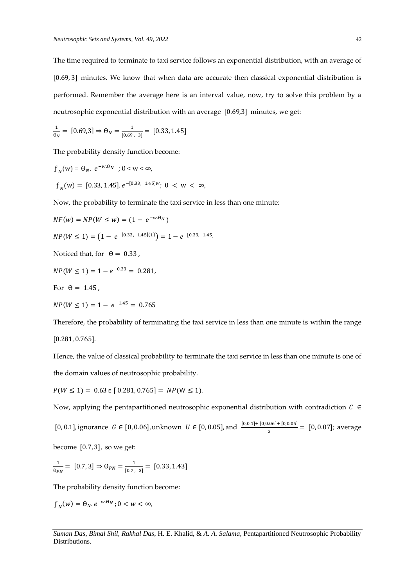The time required to terminate to taxi service follows an exponential distribution, with an average of [0.69, 3] minutes. We know that when data are accurate then classical exponential distribution is performed. Remember the average here is an interval value, now, try to solve this problem by a neutrosophic exponential distribution with an average [0.69,3] minutes, we get:

$$
\frac{1}{\theta_N} = [0.69, 3] \Rightarrow \Theta_N = \frac{1}{[0.69, 3]} = [0.33, 1.45]
$$

The probability density function become:

$$
f_N(w) = \Theta_N. \ e^{-w.\Theta_N} \quad ; \ 0 < w < \infty,
$$
\n
$$
f_N(w) = [0.33, 1.45]. \ e^{-[0.33, 1.45]w}; \ 0 < w < \infty,
$$

Now, the probability to terminate the taxi service in less than one minute:

$$
NF(w) = NP(W \le w) = (1 - e^{-w. \Theta_N})
$$
  
NP(W \le 1) = (1 - e^{-[0.33, 1.45](1)}) = 1 - e^{-[0.33, 1.45]}

Noticed that, for  $\theta = 0.33$ ,

$$
NP(W \le 1) = 1 - e^{-0.33} = 0.281,
$$

For  $\theta = 1.45$ .

$$
NP(W \le 1) = 1 - e^{-1.45} = 0.765
$$

Therefore, the probability of terminating the taxi service in less than one minute is within the range [0.281, 0.765].

Hence, the value of classical probability to terminate the taxi service in less than one minute is one of the domain values of neutrosophic probability.

 $P(W \le 1) = 0.63 \in [0.281, 0.765] = NP(W \le 1).$ 

Now, applying the pentapartitioned neutrosophic exponential distribution with contradiction  $C \in$ 

[0, 0.1], ignorance *G* ∈ [0, 0.06], unknown *U* ∈ [0, 0.05], and  $\frac{[0,0.1]+[0,0.06]+[0,0.05]}{3}$  = [0, 0.07]; average

become [0.7, 3], so we get:

$$
\frac{1}{\theta_{PN}} = [0.7, 3] \Rightarrow \theta_{PN} = \frac{1}{[0.7, 3]} = [0.33, 1.43]
$$

The probability density function become:

$$
f_N(w) = \Theta_N \cdot e^{-w \cdot \Theta_N} ; 0 < w < \infty,
$$

*Suman Das*, *Bimal Shil*, *Rakhal Das*, H. E. Khalid, & *A. A. Salama*, Pentapartitioned Neutrosophic Probability Distributions.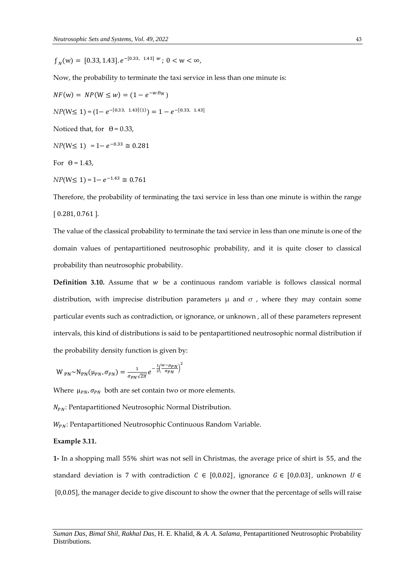$f_N(w) = [0.33, 1.43] \cdot e^{-[0.33, 1.43]} \cdot w$ ;  $0 < w < \infty$ ,

Now, the probability to terminate the taxi service in less than one minute is:

 $NF(w) = NP(W \le w) = (1 - e^{-w \cdot \theta_N})$  $NP(W \le 1) = (1 - e^{-[0.33, 1.43](1)}) = 1 - e^{-[0.33, 1.43]}$ Noticed that, for  $\theta = 0.33$ ,  $NP(W \le 1) = 1 - e^{-0.33} \approx 0.281$ For  $\theta$  = 1.43,

 $NP(W \le 1) = 1 - e^{-1.43} \approx 0.761$ 

Therefore, the probability of terminating the taxi service in less than one minute is within the range [ 0.281, 0.761 ].

The value of the classical probability to terminate the taxi service in less than one minute is one of the domain values of pentapartitioned neutrosophic probability, and it is quite closer to classical probability than neutrosophic probability.

**Definition 3.10.** Assume that  $w$  be a continuous random variable is follows classical normal distribution, with imprecise distribution parameters  $\mu$  and  $\sigma$ , where they may contain some particular events such as contradiction, or ignorance, or unknown , all of these parameters represent intervals, this kind of distributions is said to be pentapartitioned neutrosophic normal distribution if the probability density function is given by:

$$
W_{PN} \sim N_{PN}(\mu_{PN}, \sigma_{PN}) = \frac{1}{\sigma_{PN} \sqrt{2\pi}} e^{-\frac{1}{2} \left(\frac{W - \mu_{PN}}{\sigma_{PN}}\right)^2}
$$

Where  $\mu_{PN}$ ,  $\sigma_{PN}$  both are set contain two or more elements.

 $N_{PN}$ : Pentapartitioned Neutrosophic Normal Distribution.

: Pentapartitioned Neutrosophic Continuous Random Variable.

#### **Example 3.11.**

**1-** In a shopping mall 55% shirt was not sell in Christmas, the average price of shirt is 55, and the standard deviation is 7 with contradiction  $C \in [0,0.02]$ , ignorance  $G \in [0,0.03]$ , unknown  $U \in$ [0,0.05], the manager decide to give discount to show the owner that the percentage of sells will raise

*Suman Das*, *Bimal Shil*, *Rakhal Das*, H. E. Khalid, & *A. A. Salama*, Pentapartitioned Neutrosophic Probability Distributions.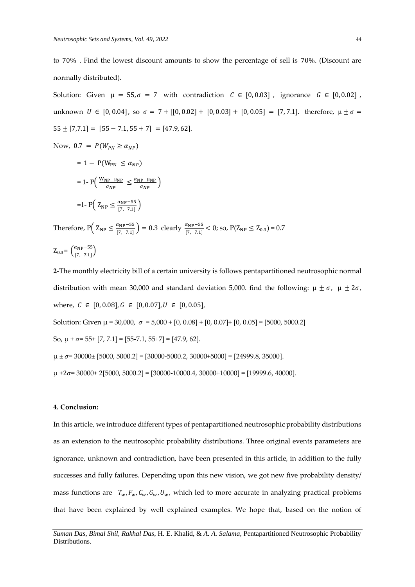to 70% . Find the lowest discount amounts to show the percentage of sell is 70%. (Discount are normally distributed).

Solution: Given  $\mu = 55$ ,  $\sigma = 7$  with contradiction  $C \in [0, 0.03]$ , ignorance  $G \in [0, 0.02]$ , unknown  $U \in [0, 0.04]$ , so  $\sigma = 7 + [[0, 0.02] + [0, 0.03] + [0, 0.05] = [7, 7.1]$ . therefore,  $\mu \pm \sigma =$  $55 \pm [7,7.1] = [55 - 7.1, 55 + 7] = [47.9, 62].$ Now,  $0.7 = P(W_{PN} \ge \alpha_{NP})$  $= 1 - P(W_{PN} \leq \alpha_{NP})$ 

$$
= 1 - P\left(\frac{W_{NP} - \mu_{NP}}{\sigma_{NP}} \le \frac{\alpha_{NP} - \mu_{NP}}{\sigma_{NP}}\right)
$$

$$
= 1 - P\left(Z_{NP} \le \frac{\alpha_{NP} - 55}{[7, 7.1]}\right)
$$

Therefore,  $P\left(Z_{NP} \leq \frac{\alpha_{NP} - 55}{17 - 7.11}\right)$  $\left(\frac{\alpha_{\text{NP}}-55}{7,7.1}\right)$  = 0.3 clearly  $\frac{\alpha_{\text{NP}}-55}{7,7.1}$  < 0; so, P(Z<sub>NP</sub>  $\leq$  Z<sub>0.3</sub>) = 0.7  $Z_{0.3} = \left(\frac{\alpha_{\rm NP} - 55}{17 - 7.11}\right)$  $\frac{u_{\text{NP}} - 33}{[7, 7.1]}$ 

)

**2**-The monthly electricity bill of a certain university is follows pentapartitioned neutrosophic normal distribution with mean 30,000 and standard deviation 5,000. find the following:  $\mu \pm \sigma$ ,  $\mu \pm 2\sigma$ , where,  $C \in [0, 0.08], G \in [0, 0.07], U \in [0, 0.05],$ Solution: Given  $\mu$  = 30,000,  $\sigma$  = 5,000 + [0, 0.08] + [0, 0.07] + [0, 0.05] = [5000, 5000.2] So,  $\mu \pm \sigma = 55 \pm [7, 7.1] = [55 - 7.1, 55 + 7] = [47.9, 62]$ .  $\mu \pm \sigma$  = 30000 $\pm$  [5000, 5000.2] = [30000-5000.2, 30000+5000] = [24999.8, 35000].  $\mu$  ±2 $\sigma$ = 30000± 2[5000, 5000.2] = [30000-10000.4, 30000+10000] = [19999.6, 40000].

## **4. Conclusion:**

In this article, we introduce different types of pentapartitioned neutrosophic probability distributions as an extension to the neutrosophic probability distributions. Three original events parameters are ignorance, unknown and contradiction, have been presented in this article, in addition to the fully successes and fully failures. Depending upon this new vision, we got new five probability density/ mass functions are  $T_w$ ,  $F_w$ ,  $C_w$ ,  $G_w$ ,  $U_w$ , which led to more accurate in analyzing practical problems that have been explained by well explained examples. We hope that, based on the notion of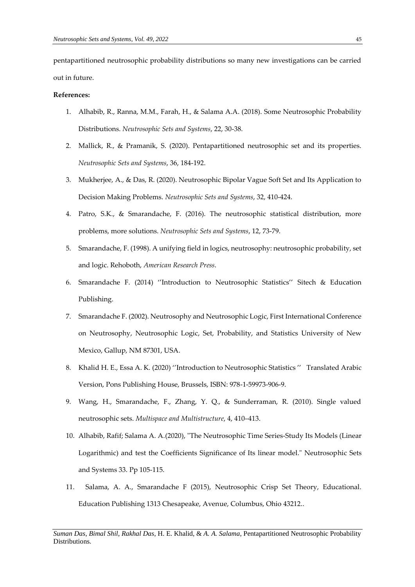pentapartitioned neutrosophic probability distributions so many new investigations can be carried out in future.

#### **References:**

- 1. Alhabib, R., Ranna, M.M., Farah, H., & Salama A.A. (2018). Some Neutrosophic Probability Distributions. *Neutrosophic Sets and Systems*, 22, 30-38.
- 2. Mallick, R., & Pramanik, S. (2020). Pentapartitioned neutrosophic set and its properties. *Neutrosophic Sets and Systems*, 36, 184-192.
- 3. Mukherjee, A., & Das, R. (2020). Neutrosophic Bipolar Vague Soft Set and Its Application to Decision Making Problems. *Neutrosophic Sets and Systems*, 32, 410-424.
- 4. Patro, S.K., & Smarandache, F. (2016). The neutrosophic statistical distribution, more problems, more solutions. *Neutrosophic Sets and Systems*, 12, 73-79.
- 5. Smarandache, F. (1998). A unifying field in logics, neutrosophy: neutrosophic probability, set and logic. Rehoboth, *American Research Press*.
- 6. Smarandache F. (2014) ''Introduction to Neutrosophic Statistics'' Sitech & Education Publishing.
- 7. Smarandache F. (2002). Neutrosophy and Neutrosophic Logic, First International Conference on Neutrosophy, Neutrosophic Logic, Set, Probability, and Statistics University of New Mexico, Gallup, NM 87301, USA.
- 8. Khalid H. E., Essa A. K. (2020) ''Introduction to Neutrosophic Statistics '' [Translated Arabic](https://scholar.google.com/citations?view_op=view_citation&hl=en&user=1A-5iycAAAAJ&cstart=20&pagesize=80&alert_preview_top_rm=2&citation_for_view=1A-5iycAAAAJ:TFP_iSt0sucC)  [Version,](https://scholar.google.com/citations?view_op=view_citation&hl=en&user=1A-5iycAAAAJ&cstart=20&pagesize=80&alert_preview_top_rm=2&citation_for_view=1A-5iycAAAAJ:TFP_iSt0sucC) Pons Publishing House, Brussels, ISBN: 978-1-59973-906-9.
- 9. Wang, H., Smarandache, F., Zhang, Y. Q., & Sunderraman, R. (2010). Single valued neutrosophic sets. *Multispace and Multistructure*, 4, 410–413.
- 10. Alhabib, Rafif; Salama A. A.(2020), "The Neutrosophic Time Series-Study Its Models (Linear Logarithmic) and test the Coefficients Significance of Its linear model." Neutrosophic Sets and Systems 33. Pp 105-115.
- 11. Salama, A. A., Smarandache F (2015), Neutrosophic Crisp Set Theory, Educational. Education Publishing 1313 Chesapeake, Avenue, Columbus, Ohio 43212..

*Suman Das*, *Bimal Shil*, *Rakhal Das*, H. E. Khalid, & *A. A. Salama*, Pentapartitioned Neutrosophic Probability Distributions.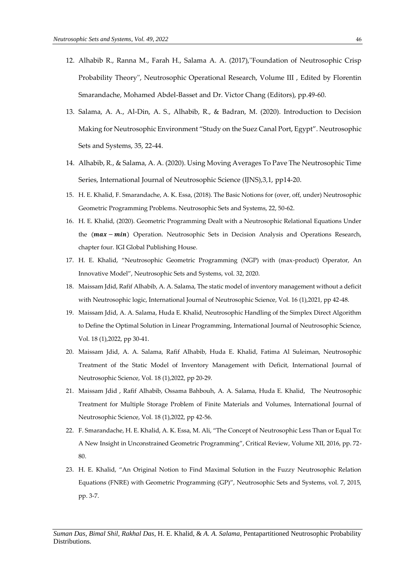- 12. Alhabib R., Ranna M., Farah H., Salama A. A. (2017),''Foundation of Neutrosophic Crisp Probability Theory'', Neutrosophic Operational Research, Volume III , Edited by Florentin Smarandache, Mohamed Abdel-Basset and Dr. Victor Chang (Editors), pp.49-60.
- 13. Salama, A. A., Al-Din, A. S., Alhabib, R., & Badran, M. (2020). Introduction to Decision Making for Neutrosophic Environment "Study on the Suez Canal Port, Egypt". Neutrosophic Sets and Systems, 35, 22-44.
- 14. Alhabib, R., & Salama, A. A. (2020). Using Moving Averages To Pave The Neutrosophic Time Series, International Journal of Neutrosophic Science (IJNS),3,1, pp14-20.
- 15. H. E. Khalid, F. Smarandache, A. K. Essa, (2018). The Basic Notions for (over, off, under) Neutrosophic Geometric Programming Problems. Neutrosophic Sets and Systems, 22, 50-62.
- 16. H. E. Khalid, (2020). Geometric Programming Dealt with a Neutrosophic Relational Equations Under the  $(max - min)$  Operation. Neutrosophic Sets in Decision Analysis and Operations Research, chapter four. IGI Global Publishing House.
- 17. H. E. Khalid, "Neutrosophic Geometric Programming (NGP) with (max-product) Operator, An Innovative Model", Neutrosophic Sets and Systems, vol. 32, 2020.
- 18. Maissam Jdid, Rafif Alhabib, A. A. Salama, The static model of inventory management without a deficit with Neutrosophic logic, International Journal of Neutrosophic Science, Vol. 16 (1),2021, pp 42-48.
- 19. Maissam Jdid, A. A. Salama, Huda E. Khalid, Neutrosophic Handling of the Simplex Direct Algorithm to Define the Optimal Solution in Linear Programming, International Journal of Neutrosophic Science, Vol. 18 (1),2022, pp 30-41.
- 20. Maissam Jdid, A. A. Salama, Rafif Alhabib, Huda E. Khalid, Fatima Al Suleiman, Neutrosophic Treatment of the Static Model of Inventory Management with Deficit, International Journal of Neutrosophic Science, Vol. 18 (1),2022, pp 20-29.
- 21. Maissam Jdid , Rafif Alhabib, Ossama Bahbouh, A. A. Salama, Huda E. Khalid, The Neutrosophic Treatment for Multiple Storage Problem of Finite Materials and Volumes, International Journal of Neutrosophic Science, Vol. 18 (1),2022, pp 42-56.
- 22. F. Smarandache, H. E. Khalid, A. K. Essa, M. Ali, "The Concept of Neutrosophic Less Than or Equal To: A New Insight in Unconstrained Geometric Programming", Critical Review, Volume XII, 2016, pp. 72- 80.
- 23. H. E. Khalid, "An Original Notion to Find Maximal Solution in the Fuzzy Neutrosophic Relation Equations (FNRE) with Geometric Programming (GP)", Neutrosophic Sets and Systems, vol. 7, 2015, pp. 3-7.

*Suman Das*, *Bimal Shil*, *Rakhal Das*, H. E. Khalid, & *A. A. Salama*, Pentapartitioned Neutrosophic Probability Distributions.